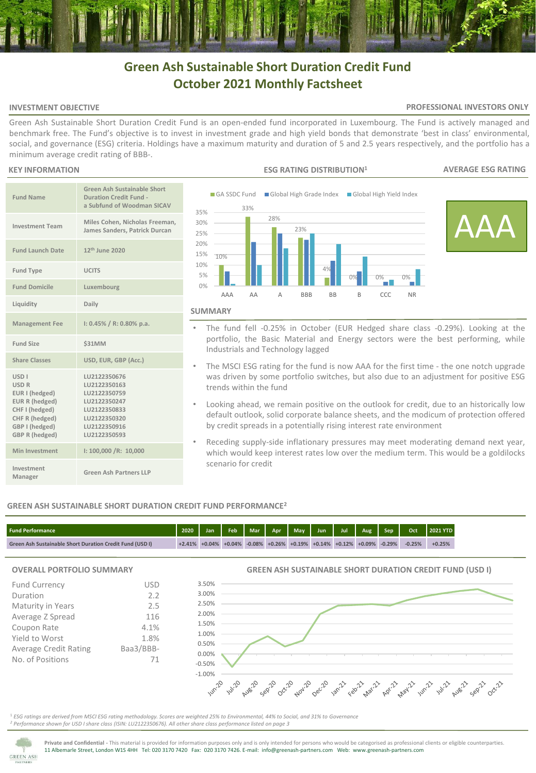# **Green Ash Sustainable Short Duration Credit Fund October 2021 Monthly Factsheet**

## **INVESTMENT OBJECTIVE**

## **PROFESSIONAL INVESTORS ONLY**

Green Ash Sustainable Short Duration Credit Fund is an open-ended fund incorporated in Luxembourg. The Fund is actively managed and benchmark free. The Fund's objective is to invest in investment grade and high yield bonds that demonstrate 'best in class' environmental, social, and governance (ESG) criteria. Holdings have a maximum maturity and duration of 5 and 2.5 years respectively, and the portfolio has a minimum average credit rating of BBB-.

## **KEY INFORMATION**

| <b>Fund Name</b>                                                                                                                                          | <b>Green Ash Sustainable Short</b><br><b>Duration Credit Fund -</b><br>a Subfund of Woodman SICAV                            |
|-----------------------------------------------------------------------------------------------------------------------------------------------------------|------------------------------------------------------------------------------------------------------------------------------|
| <b>Investment Team</b>                                                                                                                                    | Miles Cohen, Nicholas Freeman,<br>James Sanders, Patrick Durcan                                                              |
| <b>Fund Launch Date</b>                                                                                                                                   | 12 <sup>th</sup> June 2020                                                                                                   |
| <b>Fund Type</b>                                                                                                                                          | <b>UCITS</b>                                                                                                                 |
| <b>Fund Domicile</b>                                                                                                                                      | Luxembourg                                                                                                                   |
| Liquidity                                                                                                                                                 | Daily                                                                                                                        |
| <b>Management Fee</b>                                                                                                                                     | $1: 0.45\% / R: 0.80\%$ p.a.                                                                                                 |
| <b>Fund Size</b>                                                                                                                                          | \$31MM                                                                                                                       |
| <b>Share Classes</b>                                                                                                                                      | USD, EUR, GBP (Acc.)                                                                                                         |
| <b>USD<sub>I</sub></b><br><b>USD R</b><br>EUR I (hedged)<br>EUR R (hedged)<br>CHF I (hedged)<br>CHF R (hedged)<br>GBP I (hedged)<br><b>GBP R (hedged)</b> | LU2122350676<br>LU2122350163<br>LU2122350759<br>LU2122350247<br>LU2122350833<br>LU2122350320<br>LU2122350916<br>LU2122350593 |
| Min Investment                                                                                                                                            | 1: 100,000 / R: 10,000                                                                                                       |
| Investment<br>Manager                                                                                                                                     | Green Ash Partners LLP                                                                                                       |



- 
- The fund fell -0.25% in October (EUR Hedged share class -0.29%). Looking at the portfolio, the Basic Material and Energy sectors were the best performing, while Industrials and Technology lagged
- The MSCI ESG rating for the fund is now AAA for the first time the one notch upgrade was driven by some portfolio switches, but also due to an adjustment for positive ESG trends within the fund
- Looking ahead, we remain positive on the outlook for credit, due to an historically low default outlook, solid corporate balance sheets, and the modicum of protection offered by credit spreads in a potentially rising interest rate environment
- Receding supply-side inflationary pressures may meet moderating demand next year, which would keep interest rates low over the medium term. This would be a goldilocks scenario for credit

# **GREEN ASH SUSTAINABLE SHORT DURATION CREDIT FUND PERFORMANCE<sup>2</sup>**

| <b>Fund Performance</b>                                         | 2020     | Jan                 | Feb | $\blacksquare$ Mar $\blacksquare$ . | Apr May 1 | Jun Jul Aug Sep                                     |  | Oct      | 2021 YTD |
|-----------------------------------------------------------------|----------|---------------------|-----|-------------------------------------|-----------|-----------------------------------------------------|--|----------|----------|
| <b>Green Ash Sustainable Short Duration Credit Fund (USD I)</b> | $+2.41%$ | $+0.04\%$ $+0.04\%$ |     |                                     |           | $-0.08\%$ +0.26% +0.19% +0.14% +0.12% +0.09% -0.29% |  | $-0.25%$ | $+0.25%$ |

## **OVERALL PORTFOLIO SUMMARY**

| <b>Fund Currency</b>         | USD       |
|------------------------------|-----------|
| Duration                     | 2.2       |
| Maturity in Years            | 2.5       |
| Average Z Spread             | 116       |
| Coupon Rate                  | 4.1%      |
| Yield to Worst               | 1.8%      |
| <b>Average Credit Rating</b> | Baa3/BBB- |
| No. of Positions             | 71        |
|                              |           |

**GREEN ASH SUSTAINABLE SHORT DURATION CREDIT FUND (USD I)**



<sup>1</sup> *ESG ratings are derived from MSCI ESG rating methodology. Scores are weighted 25% to Environmental, 44% to Social, and 31% to Governance <sup>2</sup> Performance shown for USD I share class (ISIN: LU2122350676). All other share class performance listed on page 3* 



**Private and Confidential -** This material is provided for information purposes only and is only intended for persons who would be categorised as professional clients or eligible counterparties. 11 Albemarle Street, London W1S 4HH Tel: 020 3170 7420 Fax: 020 3170 7426. E-mail: info@greenash-partners.com Web: www.greenash-partners.com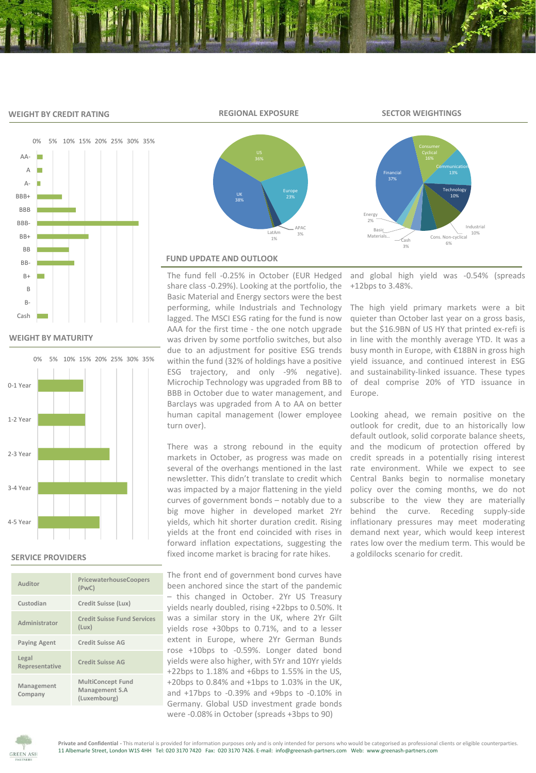#### **WEIGHT BY CREDIT RATING**



**WEIGHT BY MATURITY**



#### **SERVICE PROVIDERS**

| Auditor                 | PricewaterhouseCoopers<br>(PWC)                            |
|-------------------------|------------------------------------------------------------|
| Custodian               | Credit Suisse (Lux)                                        |
| Administrator           | <b>Credit Suisse Fund Services</b><br>(Lux)                |
| <b>Paying Agent</b>     | Credit Suisse AG                                           |
| Legal<br>Representative | Credit Suisse AG                                           |
| Management<br>Company   | <b>MultiConcept Fund</b><br>Management S.A<br>(Luxembourg) |



## **FUND UPDATE AND OUTLOOK**

The fund fell -0.25% in October (EUR Hedged share class -0.29%). Looking at the portfolio, the Basic Material and Energy sectors were the best performing, while Industrials and Technology lagged. The MSCI ESG rating for the fund is now AAA for the first time - the one notch upgrade was driven by some portfolio switches, but also due to an adjustment for positive ESG trends within the fund (32% of holdings have a positive ESG trajectory, and only -9% negative). Microchip Technology was upgraded from BB to BBB in October due to water management, and Barclays was upgraded from A to AA on better human capital management (lower employee turn over).

There was a strong rebound in the equity markets in October, as progress was made on several of the overhangs mentioned in the last newsletter. This didn't translate to credit which was impacted by a major flattening in the yield curves of government bonds – notably due to a big move higher in developed market 2Yr yields, which hit shorter duration credit. Rising yields at the front end coincided with rises in forward inflation expectations, suggesting the fixed income market is bracing for rate hikes.

The front end of government bond curves have been anchored since the start of the pandemic – this changed in October. 2Yr US Treasury yields nearly doubled, rising +22bps to 0.50%. It was a similar story in the UK, where 2Yr Gilt yields rose +30bps to 0.71%, and to a lesser extent in Europe, where 2Yr German Bunds rose +10bps to -0.59%. Longer dated bond yields were also higher, with 5Yr and 10Yr yields +22bps to 1.18% and +6bps to 1.55% in the US, +20bps to 0.84% and +1bps to 1.03% in the UK, and +17bps to -0.39% and +9bps to -0.10% in Germany. Global USD investment grade bonds were -0.08% in October (spreads +3bps to 90)

and global high yield was -0.54% (spreads +12bps to 3.48%.

 $\begin{array}{cc}\n\text{Cash} & \text{constr} \\
\text{cosh} & 6\n\end{array}$ 

3%

Communication

Technology 10%

Cons. Non-cyclical

Industrial 10%

The high yield primary markets were a bit quieter than October last year on a gross basis, but the \$16.9BN of US HY that printed ex-refi is in line with the monthly average YTD. It was a busy month in Europe, with €18BN in gross high yield issuance, and continued interest in ESG and sustainability-linked issuance. These types of deal comprise 20% of YTD issuance in Europe.

Looking ahead, we remain positive on the outlook for credit, due to an historically low default outlook, solid corporate balance sheets, and the modicum of protection offered by credit spreads in a potentially rising interest rate environment. While we expect to see Central Banks begin to normalise monetary policy over the coming months, we do not subscribe to the view they are materially behind the curve. Receding supply-side inflationary pressures may meet moderating demand next year, which would keep interest rates low over the medium term. This would be a goldilocks scenario for credit.



**REGIONAL EXPOSURE SECTOR WEIGHTINGS**

Financial 37%

Basic Mater Energy 2%